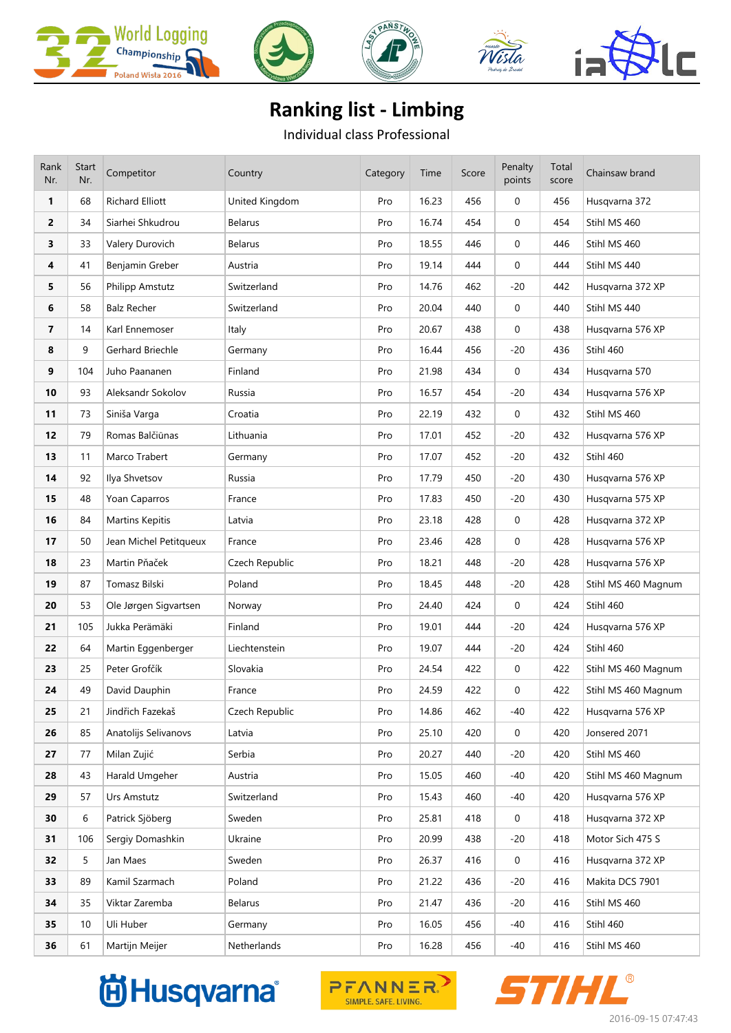









## **Ranking list - Limbing**

Individual class Professional

| Rank<br>Nr. | Start<br>Nr. | Competitor             | Country        | Category | Time  | Score | Penalty<br>points | Total<br>score | Chainsaw brand      |
|-------------|--------------|------------------------|----------------|----------|-------|-------|-------------------|----------------|---------------------|
| 1           | 68           | <b>Richard Elliott</b> | United Kingdom | Pro      | 16.23 | 456   | $\mathbf 0$       | 456            | Husqvarna 372       |
| 2           | 34           | Siarhei Shkudrou       | <b>Belarus</b> | Pro      | 16.74 | 454   | 0                 | 454            | Stihl MS 460        |
| 3           | 33           | Valery Durovich        | <b>Belarus</b> | Pro      | 18.55 | 446   | 0                 | 446            | Stihl MS 460        |
| 4           | 41           | Benjamin Greber        | Austria        | Pro      | 19.14 | 444   | $\mathbf 0$       | 444            | Stihl MS 440        |
| 5           | 56           | Philipp Amstutz        | Switzerland    | Pro      | 14.76 | 462   | $-20$             | 442            | Husqvarna 372 XP    |
| 6           | 58           | <b>Balz Recher</b>     | Switzerland    | Pro      | 20.04 | 440   | $\mathbf 0$       | 440            | Stihl MS 440        |
| 7           | 14           | Karl Ennemoser         | Italy          | Pro      | 20.67 | 438   | $\mathbf 0$       | 438            | Husqvarna 576 XP    |
| 8           | 9            | Gerhard Briechle       | Germany        | Pro      | 16.44 | 456   | $-20$             | 436            | Stihl 460           |
| 9           | 104          | Juho Paananen          | Finland        | Pro      | 21.98 | 434   | $\mathbf 0$       | 434            | Husqvarna 570       |
| 10          | 93           | Aleksandr Sokolov      | Russia         | Pro      | 16.57 | 454   | $-20$             | 434            | Husqvarna 576 XP    |
| 11          | 73           | Siniša Varga           | Croatia        | Pro      | 22.19 | 432   | 0                 | 432            | Stihl MS 460        |
| 12          | 79           | Romas Balčiūnas        | Lithuania      | Pro      | 17.01 | 452   | -20               | 432            | Husqvarna 576 XP    |
| 13          | 11           | Marco Trabert          | Germany        | Pro      | 17.07 | 452   | $-20$             | 432            | Stihl 460           |
| 14          | 92           | Ilya Shvetsov          | Russia         | Pro      | 17.79 | 450   | $-20$             | 430            | Husqvarna 576 XP    |
| 15          | 48           | Yoan Caparros          | France         | Pro      | 17.83 | 450   | $-20$             | 430            | Husqvarna 575 XP    |
| 16          | 84           | <b>Martins Kepitis</b> | Latvia         | Pro      | 23.18 | 428   | 0                 | 428            | Husqvarna 372 XP    |
| 17          | 50           | Jean Michel Petitqueux | France         | Pro      | 23.46 | 428   | $\mathbf 0$       | 428            | Husqvarna 576 XP    |
| 18          | 23           | Martin Pňaček          | Czech Republic | Pro      | 18.21 | 448   | $-20$             | 428            | Husqvarna 576 XP    |
| 19          | 87           | Tomasz Bilski          | Poland         | Pro      | 18.45 | 448   | $-20$             | 428            | Stihl MS 460 Magnum |
| 20          | 53           | Ole Jørgen Sigvartsen  | Norway         | Pro      | 24.40 | 424   | $\mathbf 0$       | 424            | Stihl 460           |
| 21          | 105          | Jukka Perämäki         | Finland        | Pro      | 19.01 | 444   | -20               | 424            | Husqvarna 576 XP    |
| 22          | 64           | Martin Eggenberger     | Liechtenstein  | Pro      | 19.07 | 444   | $-20$             | 424            | Stihl 460           |
| 23          | 25           | Peter Grofčík          | Slovakia       | Pro      | 24.54 | 422   | 0                 | 422            | Stihl MS 460 Magnum |
| 24          | 49           | David Dauphin          | France         | Pro      | 24.59 | 422   | $\mathbf 0$       | 422            | Stihl MS 460 Magnum |
| 25          | 21           | Jindřich Fazekaš       | Czech Republic | Pro      | 14.86 | 462   | $-40$             | 422            | Husqvarna 576 XP    |
| 26          | 85           | Anatolijs Selivanovs   | Latvia         | Pro      | 25.10 | 420   | 0                 | 420            | Jonsered 2071       |
| 27          | 77           | Milan Zujić            | Serbia         | Pro      | 20.27 | 440   | $-20$             | 420            | Stihl MS 460        |
| 28          | 43           | Harald Umgeher         | Austria        | Pro      | 15.05 | 460   | -40               | 420            | Stihl MS 460 Magnum |
| 29          | 57           | Urs Amstutz            | Switzerland    | Pro      | 15.43 | 460   | -40               | 420            | Husqvarna 576 XP    |
| 30          | 6            | Patrick Sjöberg        | Sweden         | Pro      | 25.81 | 418   | $\mathbf 0$       | 418            | Husqvarna 372 XP    |
| 31          | 106          | Sergiy Domashkin       | Ukraine        | Pro      | 20.99 | 438   | $-20$             | 418            | Motor Sich 475 S    |
| 32          | 5            | Jan Maes               | Sweden         | Pro      | 26.37 | 416   | $\mathbf 0$       | 416            | Husqvarna 372 XP    |
| 33          | 89           | Kamil Szarmach         | Poland         | Pro      | 21.22 | 436   | $-20$             | 416            | Makita DCS 7901     |
| 34          | 35           | Viktar Zaremba         | Belarus        | Pro      | 21.47 | 436   | $-20$             | 416            | Stihl MS 460        |
| 35          | 10           | Uli Huber              | Germany        | Pro      | 16.05 | 456   | -40               | 416            | Stihl 460           |
| 36          | 61           | Martijn Meijer         | Netherlands    | Pro      | 16.28 | 456   | $-40$             | 416            | Stihl MS 460        |





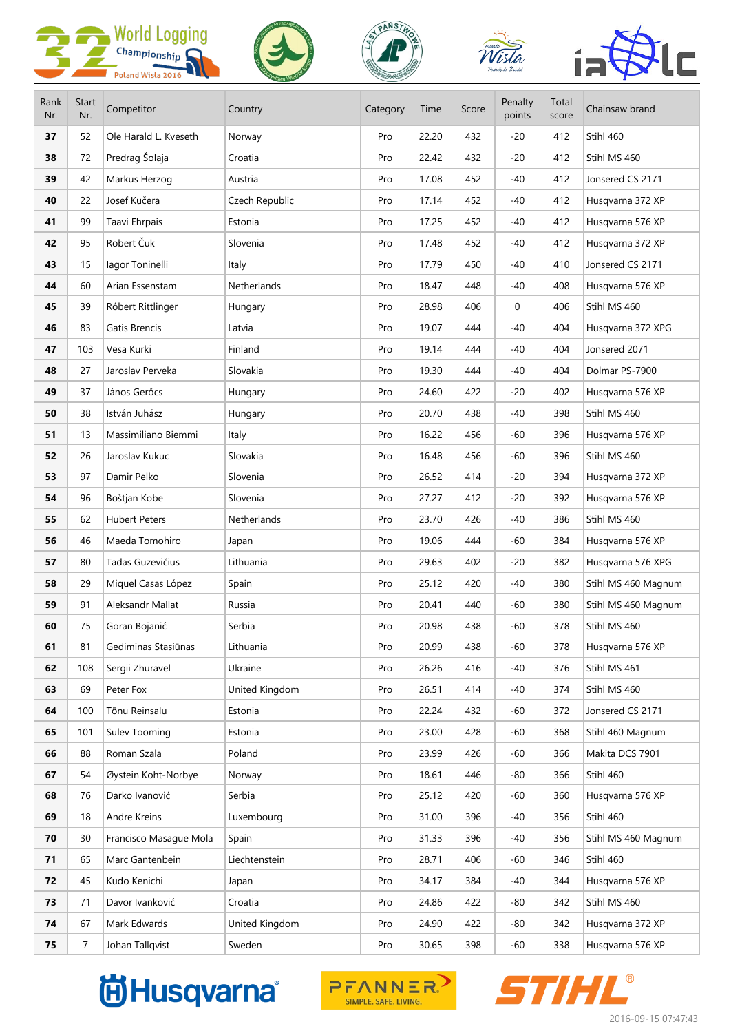









| Rank<br>Nr. | Start<br>Nr.   | Competitor             | Country        | Category | Time  | Score | Penalty<br>points | Total<br>score | Chainsaw brand      |
|-------------|----------------|------------------------|----------------|----------|-------|-------|-------------------|----------------|---------------------|
| 37          | 52             | Ole Harald L. Kveseth  | Norway         | Pro      | 22.20 | 432   | $-20$             | 412            | Stihl 460           |
| 38          | 72             | Predrag Šolaja         | Croatia        | Pro      | 22.42 | 432   | $-20$             | 412            | Stihl MS 460        |
| 39          | 42             | Markus Herzog          | Austria        | Pro      | 17.08 | 452   | -40               | 412            | Jonsered CS 2171    |
| 40          | 22             | Josef Kučera           | Czech Republic | Pro      | 17.14 | 452   | -40               | 412            | Husqvarna 372 XP    |
| 41          | 99             | Taavi Ehrpais          | Estonia        | Pro      | 17.25 | 452   | -40               | 412            | Husqvarna 576 XP    |
| 42          | 95             | Robert Čuk             | Slovenia       | Pro      | 17.48 | 452   | $-40$             | 412            | Husqvarna 372 XP    |
| 43          | 15             | lagor Toninelli        | Italy          | Pro      | 17.79 | 450   | -40               | 410            | Jonsered CS 2171    |
| 44          | 60             | Arian Essenstam        | Netherlands    | Pro      | 18.47 | 448   | -40               | 408            | Husqvarna 576 XP    |
| 45          | 39             | Róbert Rittlinger      | Hungary        | Pro      | 28.98 | 406   | 0                 | 406            | Stihl MS 460        |
| 46          | 83             | Gatis Brencis          | Latvia         | Pro      | 19.07 | 444   | $-40$             | 404            | Husqvarna 372 XPG   |
| 47          | 103            | Vesa Kurki             | Finland        | Pro      | 19.14 | 444   | -40               | 404            | Jonsered 2071       |
| 48          | 27             | Jaroslav Perveka       | Slovakia       | Pro      | 19.30 | 444   | -40               | 404            | Dolmar PS-7900      |
| 49          | 37             | János Gerőcs           | Hungary        | Pro      | 24.60 | 422   | $-20$             | 402            | Husqvarna 576 XP    |
| 50          | 38             | István Juhász          | Hungary        | Pro      | 20.70 | 438   | -40               | 398            | Stihl MS 460        |
| 51          | 13             | Massimiliano Biemmi    | Italy          | Pro      | 16.22 | 456   | -60               | 396            | Husqvarna 576 XP    |
| 52          | 26             | Jaroslav Kukuc         | Slovakia       | Pro      | 16.48 | 456   | -60               | 396            | Stihl MS 460        |
| 53          | 97             | Damir Pelko            | Slovenia       | Pro      | 26.52 | 414   | $-20$             | 394            | Husqvarna 372 XP    |
| 54          | 96             | Boštjan Kobe           | Slovenia       | Pro      | 27.27 | 412   | $-20$             | 392            | Husqvarna 576 XP    |
| 55          | 62             | <b>Hubert Peters</b>   | Netherlands    | Pro      | 23.70 | 426   | -40               | 386            | Stihl MS 460        |
| 56          | 46             | Maeda Tomohiro         | Japan          | Pro      | 19.06 | 444   | -60               | 384            | Husqvarna 576 XP    |
| 57          | 80             | Tadas Guzevičius       | Lithuania      | Pro      | 29.63 | 402   | $-20$             | 382            | Husqvarna 576 XPG   |
| 58          | 29             | Miquel Casas López     | Spain          | Pro      | 25.12 | 420   | -40               | 380            | Stihl MS 460 Magnum |
| 59          | 91             | Aleksandr Mallat       | Russia         | Pro      | 20.41 | 440   | -60               | 380            | Stihl MS 460 Magnum |
| 60          | 75             | Goran Bojanić          | Serbia         | Pro      | 20.98 | 438   | -60               | 378            | Stihl MS 460        |
| 61          | 81             | Gediminas Stasiūnas    | Lithuania      | Pro      | 20.99 | 438   | $-60$             | 378            | Husqvarna 576 XP    |
| 62          | 108            | Sergii Zhuravel        | Ukraine        | Pro      | 26.26 | 416   | -40               | 376            | Stihl MS 461        |
| 63          | 69             | Peter Fox              | United Kingdom | Pro      | 26.51 | 414   | -40               | 374            | Stihl MS 460        |
| 64          | 100            | Tõnu Reinsalu          | Estonia        | Pro      | 22.24 | 432   | -60               | 372            | Jonsered CS 2171    |
| 65          | 101            | Sulev Tooming          | Estonia        | Pro      | 23.00 | 428   | $-60$             | 368            | Stihl 460 Magnum    |
| 66          | 88             | Roman Szala            | Poland         | Pro      | 23.99 | 426   | -60               | 366            | Makita DCS 7901     |
| 67          | 54             | Øystein Koht-Norbye    | Norway         | Pro      | 18.61 | 446   | -80               | 366            | Stihl 460           |
| 68          | 76             | Darko Ivanović         | Serbia         | Pro      | 25.12 | 420   | -60               | 360            | Husqvarna 576 XP    |
| 69          | 18             | Andre Kreins           | Luxembourg     | Pro      | 31.00 | 396   | -40               | 356            | Stihl 460           |
| 70          | 30             | Francisco Masague Mola | Spain          | Pro      | 31.33 | 396   | -40               | 356            | Stihl MS 460 Magnum |
| 71          | 65             | Marc Gantenbein        | Liechtenstein  | Pro      | 28.71 | 406   | -60               | 346            | Stihl 460           |
| 72          | 45             | Kudo Kenichi           | Japan          | Pro      | 34.17 | 384   | -40               | 344            | Husqvarna 576 XP    |
| 73          | 71             | Davor Ivanković        | Croatia        | Pro      | 24.86 | 422   | -80               | 342            | Stihl MS 460        |
| 74          | 67             | Mark Edwards           | United Kingdom | Pro      | 24.90 | 422   | $-80$             | 342            | Husqvarna 372 XP    |
| 75          | $\overline{7}$ | Johan Tallqvist        | Sweden         | Pro      | 30.65 | 398   | -60               | 338            | Husqvarna 576 XP    |

## **尚Husqvarna**